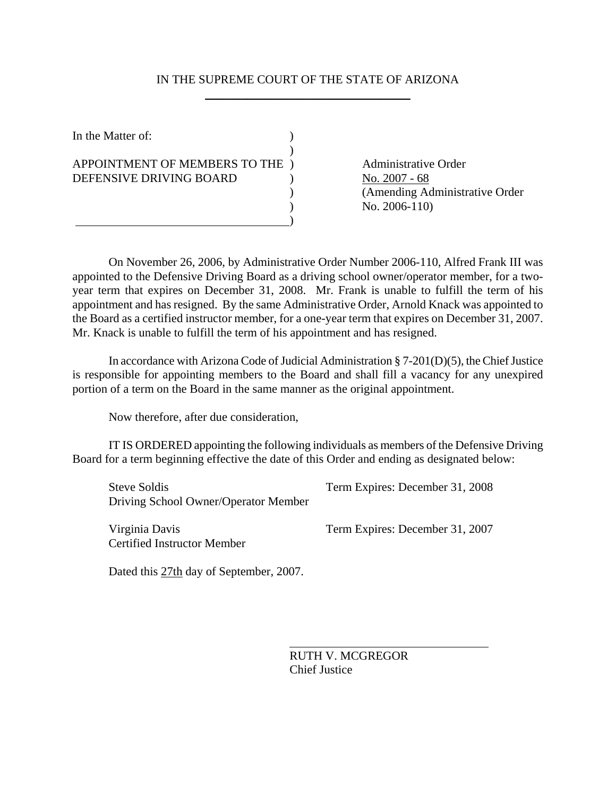## IN THE SUPREME COURT OF THE STATE OF ARIZONA \_\_\_\_\_\_\_\_\_\_\_\_\_\_\_\_\_\_\_\_\_\_\_\_\_\_\_\_\_\_\_\_\_\_

In the Matter of:  $\qquad \qquad$  )  $\lambda$ APPOINTMENT OF MEMBERS TO THE ) Administrative Order DEFENSIVE DRIVING BOARD (No. 2007 - 68) )

 ) (Amending Administrative Order ) No. 2006-110)

On November 26, 2006, by Administrative Order Number 2006-110, Alfred Frank III was appointed to the Defensive Driving Board as a driving school owner/operator member, for a twoyear term that expires on December 31, 2008. Mr. Frank is unable to fulfill the term of his appointment and has resigned. By the same Administrative Order, Arnold Knack was appointed to the Board as a certified instructor member, for a one-year term that expires on December 31, 2007. Mr. Knack is unable to fulfill the term of his appointment and has resigned.

In accordance with Arizona Code of Judicial Administration § 7-201(D)(5), the Chief Justice is responsible for appointing members to the Board and shall fill a vacancy for any unexpired portion of a term on the Board in the same manner as the original appointment.

Now therefore, after due consideration,

IT IS ORDERED appointing the following individuals as members of the Defensive Driving Board for a term beginning effective the date of this Order and ending as designated below:

 Steve Soldis Term Expires: December 31, 2008 Driving School Owner/Operator Member

 $\overline{a}$ 

Certified Instructor Member

Virginia Davis Term Expires: December 31, 2007

Dated this 27th day of September, 2007.

RUTH V. MCGREGOR Chief Justice